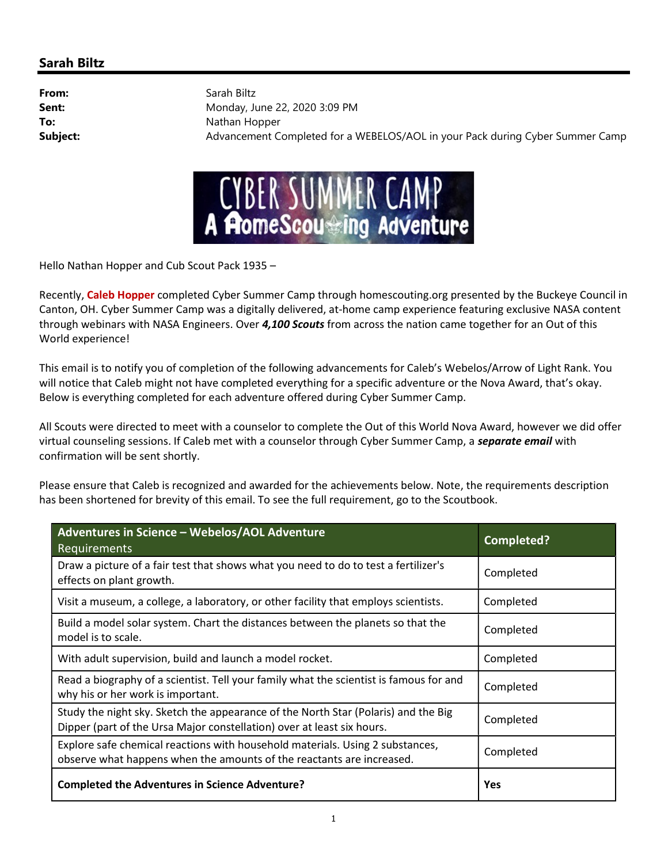## Sarah Biltz

From: Sarah Biltz **Sent:** Monday, June 22, 2020 3:09 PM To: Nathan Hopper Subject: Advancement Completed for a WEBELOS/AOL in your Pack during Cyber Summer Camp



Hello Nathan Hopper and Cub Scout Pack 1935 –

Recently, Caleb Hopper completed Cyber Summer Camp through homescouting.org presented by the Buckeye Council in Canton, OH. Cyber Summer Camp was a digitally delivered, at-home camp experience featuring exclusive NASA content through webinars with NASA Engineers. Over 4,100 Scouts from across the nation came together for an Out of this World experience!

This email is to notify you of completion of the following advancements for Caleb's Webelos/Arrow of Light Rank. You will notice that Caleb might not have completed everything for a specific adventure or the Nova Award, that's okay. Below is everything completed for each adventure offered during Cyber Summer Camp.

All Scouts were directed to meet with a counselor to complete the Out of this World Nova Award, however we did offer virtual counseling sessions. If Caleb met with a counselor through Cyber Summer Camp, a separate email with confirmation will be sent shortly.

Please ensure that Caleb is recognized and awarded for the achievements below. Note, the requirements description has been shortened for brevity of this email. To see the full requirement, go to the Scoutbook.

| Adventures in Science - Webelos/AOL Adventure<br>Requirements                                                                                                | <b>Completed?</b> |
|--------------------------------------------------------------------------------------------------------------------------------------------------------------|-------------------|
| Draw a picture of a fair test that shows what you need to do to test a fertilizer's<br>effects on plant growth.                                              | Completed         |
| Visit a museum, a college, a laboratory, or other facility that employs scientists.                                                                          | Completed         |
| Build a model solar system. Chart the distances between the planets so that the<br>model is to scale.                                                        | Completed         |
| With adult supervision, build and launch a model rocket.                                                                                                     | Completed         |
| Read a biography of a scientist. Tell your family what the scientist is famous for and<br>why his or her work is important.                                  | Completed         |
| Study the night sky. Sketch the appearance of the North Star (Polaris) and the Big<br>Dipper (part of the Ursa Major constellation) over at least six hours. | Completed         |
| Explore safe chemical reactions with household materials. Using 2 substances,<br>observe what happens when the amounts of the reactants are increased.       | Completed         |
| <b>Completed the Adventures in Science Adventure?</b>                                                                                                        | Yes               |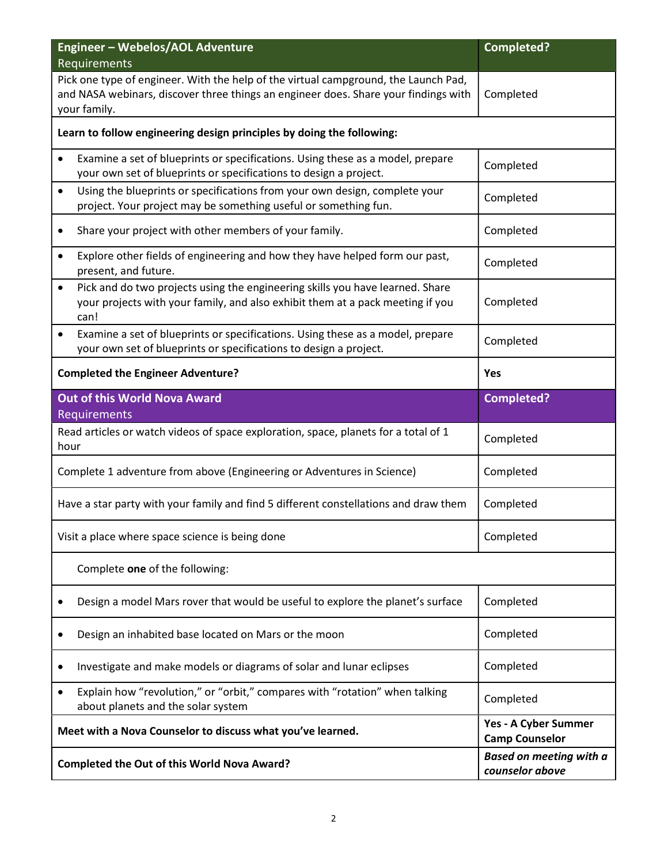| Engineer - Webelos/AOL Adventure<br>Requirements                                                                                                                                           | <b>Completed?</b>                                 |
|--------------------------------------------------------------------------------------------------------------------------------------------------------------------------------------------|---------------------------------------------------|
| Pick one type of engineer. With the help of the virtual campground, the Launch Pad,<br>and NASA webinars, discover three things an engineer does. Share your findings with<br>your family. | Completed                                         |
| Learn to follow engineering design principles by doing the following:                                                                                                                      |                                                   |
| Examine a set of blueprints or specifications. Using these as a model, prepare<br>$\bullet$<br>your own set of blueprints or specifications to design a project.                           | Completed                                         |
| Using the blueprints or specifications from your own design, complete your<br>$\bullet$<br>project. Your project may be something useful or something fun.                                 | Completed                                         |
| Share your project with other members of your family.                                                                                                                                      | Completed                                         |
| Explore other fields of engineering and how they have helped form our past,<br>$\bullet$<br>present, and future.                                                                           | Completed                                         |
| Pick and do two projects using the engineering skills you have learned. Share<br>$\bullet$<br>your projects with your family, and also exhibit them at a pack meeting if you<br>can!       | Completed                                         |
| Examine a set of blueprints or specifications. Using these as a model, prepare<br>$\bullet$<br>your own set of blueprints or specifications to design a project.                           | Completed                                         |
| <b>Completed the Engineer Adventure?</b>                                                                                                                                                   | Yes                                               |
| <b>Out of this World Nova Award</b><br>Requirements                                                                                                                                        | <b>Completed?</b>                                 |
| Read articles or watch videos of space exploration, space, planets for a total of 1<br>hour                                                                                                | Completed                                         |
| Complete 1 adventure from above (Engineering or Adventures in Science)                                                                                                                     | Completed                                         |
| Have a star party with your family and find 5 different constellations and draw them                                                                                                       | Completed                                         |
| Visit a place where space science is being done                                                                                                                                            | Completed                                         |
| Complete one of the following:                                                                                                                                                             |                                                   |
| Design a model Mars rover that would be useful to explore the planet's surface                                                                                                             | Completed                                         |
| Design an inhabited base located on Mars or the moon                                                                                                                                       | Completed                                         |
| Investigate and make models or diagrams of solar and lunar eclipses                                                                                                                        | Completed                                         |
| Explain how "revolution," or "orbit," compares with "rotation" when talking<br>٠<br>about planets and the solar system                                                                     | Completed                                         |
| Meet with a Nova Counselor to discuss what you've learned.                                                                                                                                 | Yes - A Cyber Summer<br><b>Camp Counselor</b>     |
| Completed the Out of this World Nova Award?                                                                                                                                                | <b>Based on meeting with a</b><br>counselor above |